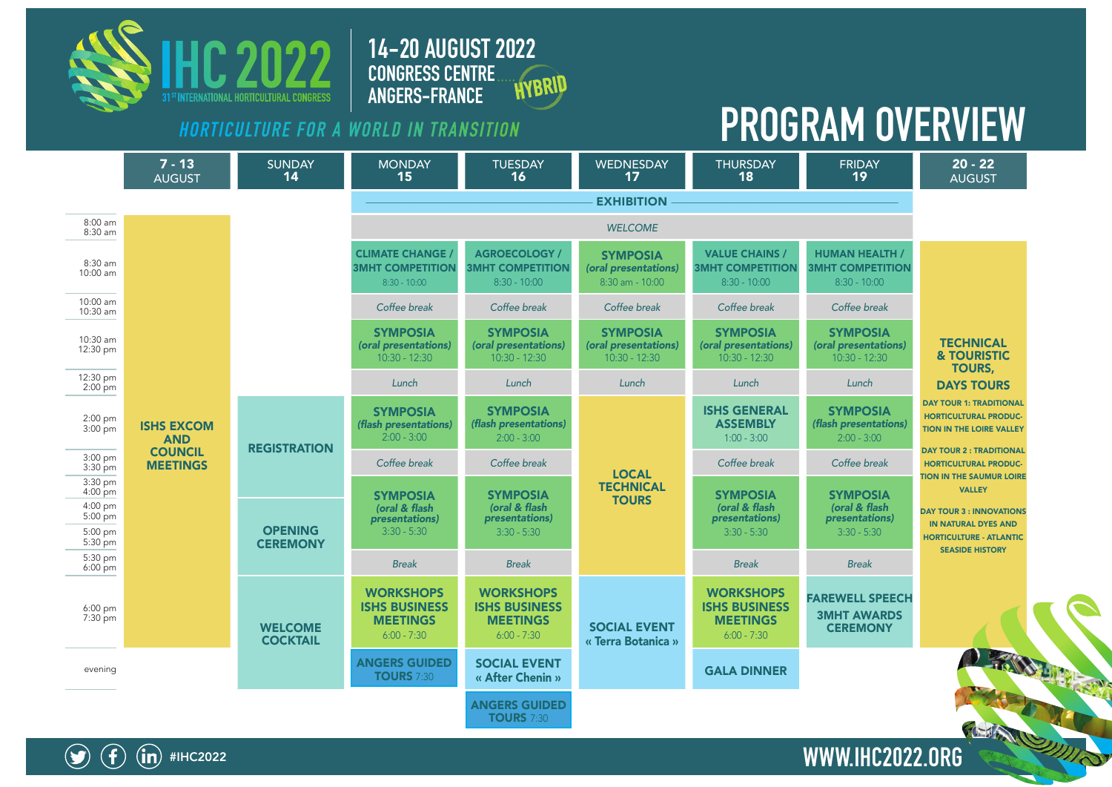

**14-20 AUGUST 2022 CONGRESS CENTRE**  HYBRID **ANGERS-FRANCE**

## **HORTICULTURE FOR A WORLD IN TRANSITION PROGRAM OVERVIEW**





#IHC2022 **WWW.IHC2022.ORG**